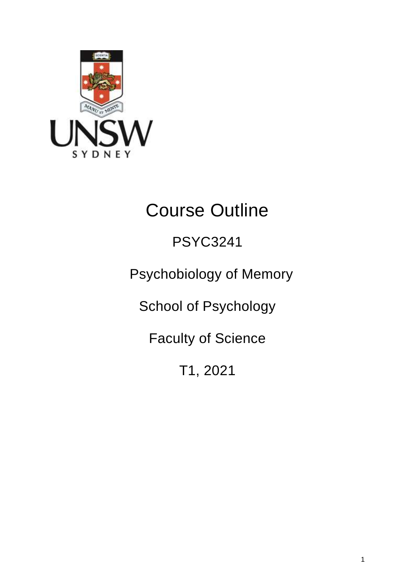

# Course Outline

# PSYC3241

Psychobiology of Memory

School of Psychology

Faculty of Science

T1, 2021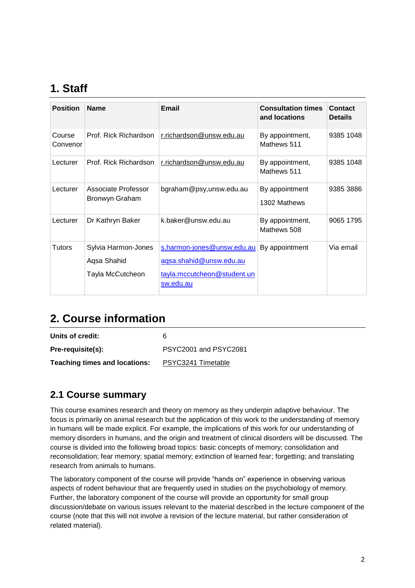# **1. Staff**

| <b>Position</b>    | <b>Name</b>                                            | Email                                                                                             | <b>Consultation times</b><br>and locations | <b>Contact</b><br><b>Details</b> |
|--------------------|--------------------------------------------------------|---------------------------------------------------------------------------------------------------|--------------------------------------------|----------------------------------|
| Course<br>Convenor | Prof. Rick Richardson                                  | r.richardson@unsw.edu.au                                                                          | By appointment,<br>Mathews 511             | 9385 1048                        |
| Lecturer           | Prof. Rick Richardson                                  | r.richardson@unsw.edu.au                                                                          | By appointment,<br>Mathews 511             | 9385 1048                        |
| Lecturer           | Associate Professor<br>Bronwyn Graham                  | bgraham@psy,unsw.edu.au                                                                           | By appointment<br>1302 Mathews             | 9385 3886                        |
| Lecturer           | Dr Kathryn Baker                                       | k.baker@unsw.edu.au                                                                               | By appointment,<br>Mathews 508             | 9065 1795                        |
| <b>Tutors</b>      | Sylvia Harmon-Jones<br>Aqsa Shahid<br>Tayla McCutcheon | s.harmon-jones@unsw.edu.au<br>aqsa.shahid@unsw.edu.au<br>tayla.mccutcheon@student.un<br>sw.edu.au | By appointment                             | Via email                        |

# **2. Course information**

**Units of credit:** 6

**Pre-requisite(s):** PSYC2001 and PSYC2081 **Teaching times and locations:** [PSYC3241](http://timetable.unsw.edu.au/2018/PSYCKENS.html) Timetable

### **2.1 Course summary**

This course examines research and theory on memory as they underpin adaptive behaviour. The focus is primarily on animal research but the application of this work to the understanding of memory in humans will be made explicit. For example, the implications of this work for our understanding of memory disorders in humans, and the origin and treatment of clinical disorders will be discussed. The course is divided into the following broad topics: basic concepts of memory; consolidation and reconsolidation; fear memory; spatial memory; extinction of learned fear; forgetting; and translating research from animals to humans.

The laboratory component of the course will provide "hands on" experience in observing various aspects of rodent behaviour that are frequently used in studies on the psychobiology of memory. Further, the laboratory component of the course will provide an opportunity for small group discussion/debate on various issues relevant to the material described in the lecture component of the course (note that this will not involve a revision of the lecture material, but rather consideration of related material).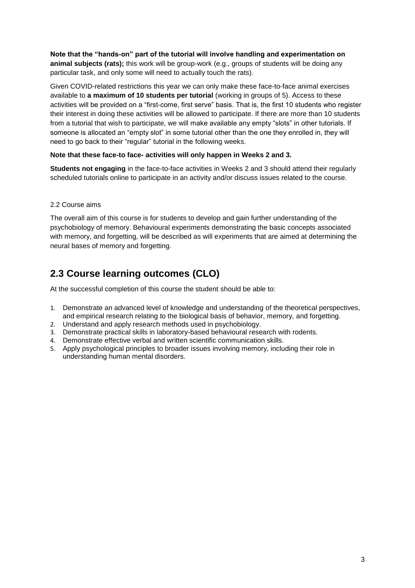**Note that the "hands-on" part of the tutorial will involve handling and experimentation on animal subjects (rats);** this work will be group-work (e.g., groups of students will be doing any particular task, and only some will need to actually touch the rats).

Given COVID-related restrictions this year we can only make these face-to-face animal exercises available to **a maximum of 10 students per tutorial** (working in groups of 5). Access to these activities will be provided on a "first-come, first serve" basis. That is, the first 10 students who register their interest in doing these activities will be allowed to participate. If there are more than 10 students from a tutorial that wish to participate, we will make available any empty "slots" in other tutorials. If someone is allocated an "empty slot" in some tutorial other than the one they enrolled in, they will need to go back to their "regular" tutorial in the following weeks.

#### **Note that these face-to face- activities will only happen in Weeks 2 and 3.**

**Students not engaging** in the face-to-face activities in Weeks 2 and 3 should attend their regularly scheduled tutorials online to participate in an activity and/or discuss issues related to the course.

#### 2.2 Course aims

The overall aim of this course is for students to develop and gain further understanding of the psychobiology of memory. Behavioural experiments demonstrating the basic concepts associated with memory, and forgetting, will be described as will experiments that are aimed at determining the neural bases of memory and forgetting.

### **2.3 Course learning outcomes (CLO)**

At the successful completion of this course the student should be able to:

- 1. Demonstrate an advanced level of knowledge and understanding of the theoretical perspectives, and empirical research relating to the biological basis of behavior, memory, and forgetting.
- 2. Understand and apply research methods used in psychobiology.
- 3. Demonstrate practical skills in laboratory-based behavioural research with rodents.
- 4. Demonstrate effective verbal and written scientific communication skills.
- 5. Apply psychological principles to broader issues involving memory, including their role in understanding human mental disorders.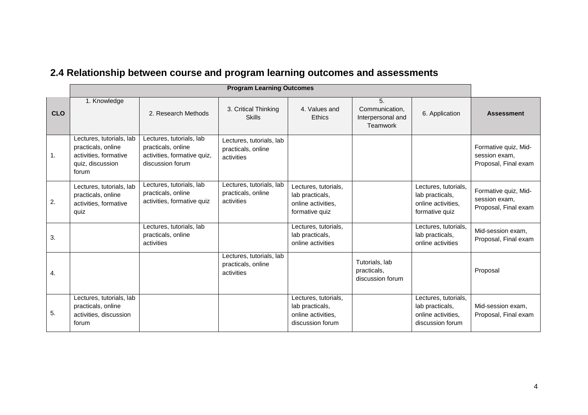|            | <b>Program Learning Outcomes</b>                                                                     |                                                                                                   |                                                              |                                                                                   |                                                              |                                                                                   |                                                               |
|------------|------------------------------------------------------------------------------------------------------|---------------------------------------------------------------------------------------------------|--------------------------------------------------------------|-----------------------------------------------------------------------------------|--------------------------------------------------------------|-----------------------------------------------------------------------------------|---------------------------------------------------------------|
| <b>CLO</b> | 1. Knowledge                                                                                         | 2. Research Methods                                                                               | 3. Critical Thinking<br><b>Skills</b>                        | 4. Values and<br><b>Ethics</b>                                                    | 5.<br>Communication.<br>Interpersonal and<br><b>Teamwork</b> | 6. Application                                                                    | <b>Assessment</b>                                             |
| 1.         | Lectures, tutorials, lab<br>practicals, online<br>activities, formative<br>quiz, discussion<br>forum | Lectures, tutorials, lab<br>practicals, online<br>activities, formative quiz,<br>discussion forum | Lectures, tutorials, lab<br>practicals, online<br>activities |                                                                                   |                                                              |                                                                                   | Formative quiz, Mid-<br>session exam,<br>Proposal, Final exam |
| 2.         | Lectures, tutorials, lab<br>practicals, online<br>activities, formative<br>quiz                      | Lectures, tutorials, lab<br>practicals, online<br>activities, formative quiz                      | Lectures, tutorials, lab<br>practicals, online<br>activities | Lectures, tutorials,<br>lab practicals,<br>online activities,<br>formative quiz   |                                                              | Lectures, tutorials,<br>lab practicals,<br>online activities,<br>formative quiz   | Formative quiz, Mid-<br>session exam,<br>Proposal, Final exam |
| 3.         |                                                                                                      | Lectures, tutorials, lab<br>practicals, online<br>activities                                      |                                                              | Lectures, tutorials,<br>lab practicals,<br>online activities                      |                                                              | Lectures, tutorials,<br>lab practicals,<br>online activities                      | Mid-session exam,<br>Proposal, Final exam                     |
| 4.         |                                                                                                      |                                                                                                   | Lectures, tutorials, lab<br>practicals, online<br>activities |                                                                                   | Tutorials, lab<br>practicals,<br>discussion forum            |                                                                                   | Proposal                                                      |
| 5.         | Lectures, tutorials, lab<br>practicals, online<br>activities, discussion<br>forum                    |                                                                                                   |                                                              | Lectures, tutorials,<br>lab practicals,<br>online activities,<br>discussion forum |                                                              | Lectures, tutorials,<br>lab practicals,<br>online activities,<br>discussion forum | Mid-session exam,<br>Proposal, Final exam                     |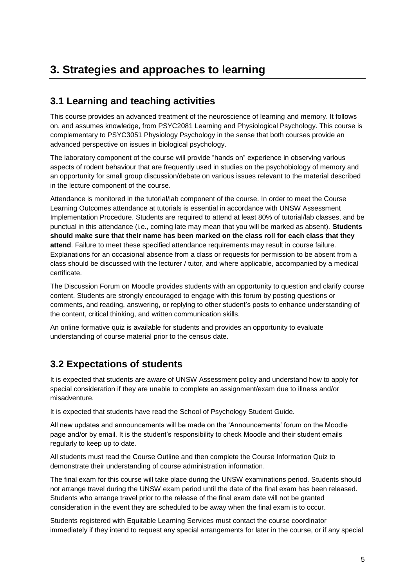# **3. Strategies and approaches to learning**

#### **3.1 Learning and teaching activities**

This course provides an advanced treatment of the neuroscience of learning and memory. It follows on, and assumes knowledge, from PSYC2081 Learning and Physiological Psychology. This course is complementary to PSYC3051 Physiology Psychology in the sense that both courses provide an advanced perspective on issues in biological psychology.

The laboratory component of the course will provide "hands on" experience in observing various aspects of rodent behaviour that are frequently used in studies on the psychobiology of memory and an opportunity for small group discussion/debate on various issues relevant to the material described in the lecture component of the course.

Attendance is monitored in the tutorial/lab component of the course. In order to meet the Course Learning Outcomes attendance at tutorials is essential in accordance with UNSW Assessment Implementation Procedure. Students are required to attend at least 80% of tutorial/lab classes, and be punctual in this attendance (i.e., coming late may mean that you will be marked as absent). **Students should make sure that their name has been marked on the class roll for each class that they attend**. Failure to meet these specified attendance requirements may result in course failure. Explanations for an occasional absence from a class or requests for permission to be absent from a class should be discussed with the lecturer / tutor, and where applicable, accompanied by a medical certificate.

The Discussion Forum on Moodle provides students with an opportunity to question and clarify course content. Students are strongly encouraged to engage with this forum by posting questions or comments, and reading, answering, or replying to other student's posts to enhance understanding of the content, critical thinking, and written communication skills.

An online formative quiz is available for students and provides an opportunity to evaluate understanding of course material prior to the census date.

### **3.2 Expectations of students**

It is expected that students are aware of UNSW Assessment policy and understand how to apply for special consideration if they are unable to complete an assignment/exam due to illness and/or misadventure.

It is expected that students have read the School of Psychology Student Guide.

All new updates and announcements will be made on the 'Announcements' forum on the Moodle page and/or by email. It is the student's responsibility to check Moodle and their student emails regularly to keep up to date.

All students must read the Course Outline and then complete the Course Information Quiz to demonstrate their understanding of course administration information.

The final exam for this course will take place during the UNSW examinations period. Students should not arrange travel during the UNSW exam period until the date of the final exam has been released. Students who arrange travel prior to the release of the final exam date will not be granted consideration in the event they are scheduled to be away when the final exam is to occur.

Students registered with Equitable Learning Services must contact the course coordinator immediately if they intend to request any special arrangements for later in the course, or if any special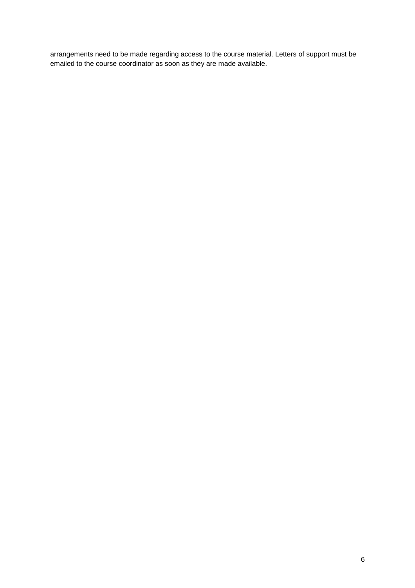arrangements need to be made regarding access to the course material. Letters of support must be emailed to the course coordinator as soon as they are made available.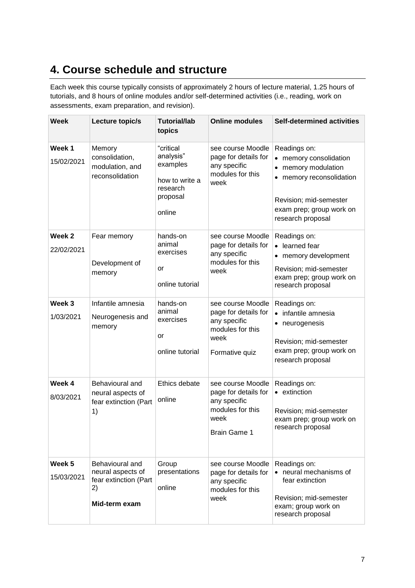# **4. Course schedule and structure**

Each week this course typically consists of approximately 2 hours of lecture material, 1.25 hours of tutorials, and 8 hours of online modules and/or self-determined activities (i.e., reading, work on assessments, exam preparation, and revision).

| <b>Week</b>                     | Lecture topic/s                                                                      | <b>Tutorial/lab</b><br>topics                                                          | <b>Online modules</b>                                                                                        | Self-determined activities                                                                                                                                         |
|---------------------------------|--------------------------------------------------------------------------------------|----------------------------------------------------------------------------------------|--------------------------------------------------------------------------------------------------------------|--------------------------------------------------------------------------------------------------------------------------------------------------------------------|
| Week <sub>1</sub><br>15/02/2021 | Memory<br>consolidation,<br>modulation, and<br>reconsolidation                       | "critical<br>analysis"<br>examples<br>how to write a<br>research<br>proposal<br>online | see course Moodle<br>page for details for<br>any specific<br>modules for this<br>week                        | Readings on:<br>• memory consolidation<br>• memory modulation<br>memory reconsolidation<br>Revision; mid-semester<br>exam prep; group work on<br>research proposal |
| Week 2<br>22/02/2021            | Fear memory<br>Development of<br>memory                                              | hands-on<br>animal<br>exercises<br>or<br>online tutorial                               | see course Moodle<br>page for details for<br>any specific<br>modules for this<br>week                        | Readings on:<br>• learned fear<br>• memory development<br>Revision; mid-semester<br>exam prep; group work on<br>research proposal                                  |
| Week 3<br>1/03/2021             | Infantile amnesia<br>Neurogenesis and<br>memory                                      | hands-on<br>animal<br>exercises<br>or<br>online tutorial                               | see course Moodle<br>page for details for<br>any specific<br>modules for this<br>week<br>Formative quiz      | Readings on:<br>• infantile amnesia<br>• neurogenesis<br>Revision; mid-semester<br>exam prep; group work on<br>research proposal                                   |
| Week 4<br>8/03/2021             | Behavioural and<br>neural aspects of<br>fear extinction (Part<br>1)                  | Ethics debate<br>online                                                                | see course Moodle<br>page for details for<br>any specific<br>modules for this<br>week<br><b>Brain Game 1</b> | Readings on:<br>• extinction<br>Revision; mid-semester<br>exam prep; group work on<br>research proposal                                                            |
| Week 5<br>15/03/2021            | Behavioural and<br>neural aspects of<br>fear extinction (Part<br>2)<br>Mid-term exam | Group<br>presentations<br>online                                                       | see course Moodle<br>page for details for<br>any specific<br>modules for this<br>week                        | Readings on:<br>• neural mechanisms of<br>fear extinction<br>Revision; mid-semester<br>exam; group work on<br>research proposal                                    |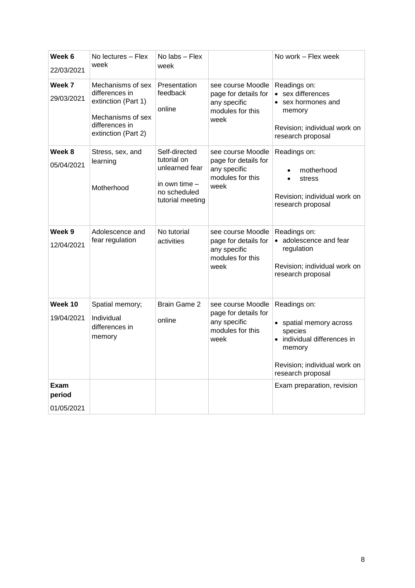| Week 6<br>22/03/2021         | No lectures – Flex<br>week                                                                                               | No labs - Flex<br>week                                                                              |                                                                                       | No work – Flex week                                                                                                                              |
|------------------------------|--------------------------------------------------------------------------------------------------------------------------|-----------------------------------------------------------------------------------------------------|---------------------------------------------------------------------------------------|--------------------------------------------------------------------------------------------------------------------------------------------------|
| Week 7<br>29/03/2021         | Mechanisms of sex<br>differences in<br>extinction (Part 1)<br>Mechanisms of sex<br>differences in<br>extinction (Part 2) | Presentation<br>feedback<br>online                                                                  | see course Moodle<br>page for details for<br>any specific<br>modules for this<br>week | Readings on:<br>• sex differences<br>sex hormones and<br>memory<br>Revision; individual work on<br>research proposal                             |
| Week 8<br>05/04/2021         | Stress, sex, and<br>learning<br>Motherhood                                                                               | Self-directed<br>tutorial on<br>unlearned fear<br>in own time -<br>no scheduled<br>tutorial meeting | see course Moodle<br>page for details for<br>any specific<br>modules for this<br>week | Readings on:<br>motherhood<br>stress<br>$\bullet$<br>Revision; individual work on<br>research proposal                                           |
| Week 9<br>12/04/2021         | Adolescence and<br>fear regulation                                                                                       | No tutorial<br>activities                                                                           | see course Moodle<br>page for details for<br>any specific<br>modules for this<br>week | Readings on:<br>• adolescence and fear<br>regulation<br>Revision; individual work on<br>research proposal                                        |
| Week 10<br>19/04/2021        | Spatial memory;<br>Individual<br>differences in<br>memory                                                                | <b>Brain Game 2</b><br>online                                                                       | see course Moodle<br>page for details for<br>any specific<br>modules for this<br>week | Readings on:<br>• spatial memory across<br>species<br>• individual differences in<br>memory<br>Revision; individual work on<br>research proposal |
| Exam<br>period<br>01/05/2021 |                                                                                                                          |                                                                                                     |                                                                                       | Exam preparation, revision                                                                                                                       |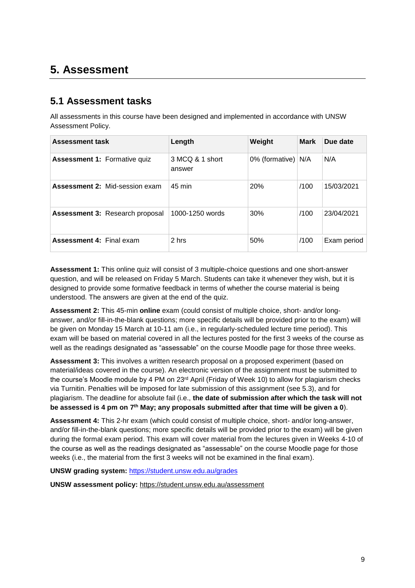# **5. Assessment**

#### **5.1 Assessment tasks**

All assessments in this course have been designed and implemented in accordance with UNSW Assessment Policy.

| <b>Assessment task</b>                 | Length                    | Weight               | <b>Mark</b> | Due date    |
|----------------------------------------|---------------------------|----------------------|-------------|-------------|
| <b>Assessment 1: Formative quiz</b>    | 3 MCQ & 1 short<br>answer | 0% (formative) $N/A$ |             | N/A         |
| <b>Assessment 2: Mid-session exam</b>  | $45 \text{ min}$          | 20%                  | /100        | 15/03/2021  |
| <b>Assessment 3: Research proposal</b> | 1000-1250 words           | 30%                  | /100        | 23/04/2021  |
| <b>Assessment 4: Final exam</b>        | 2 hrs                     | 50%                  | /100        | Exam period |

**Assessment 1:** This online quiz will consist of 3 multiple-choice questions and one short-answer question, and will be released on Friday 5 March. Students can take it whenever they wish, but it is designed to provide some formative feedback in terms of whether the course material is being understood. The answers are given at the end of the quiz.

**Assessment 2:** This 45-min **online** exam (could consist of multiple choice, short- and/or longanswer, and/or fill-in-the-blank questions; more specific details will be provided prior to the exam) will be given on Monday 15 March at 10-11 am (i.e., in regularly-scheduled lecture time period). This exam will be based on material covered in all the lectures posted for the first 3 weeks of the course as well as the readings designated as "assessable" on the course Moodle page for those three weeks.

**Assessment 3:** This involves a written research proposal on a proposed experiment (based on material/ideas covered in the course). An electronic version of the assignment must be submitted to the course's Moodle module by 4 PM on 23<sup>rd</sup> April (Friday of Week 10) to allow for plagiarism checks via Turnitin. Penalties will be imposed for late submission of this assignment (see 5.3), and for plagiarism. The deadline for absolute fail (i.e., **the date of submission after which the task will not be assessed is 4 pm on 7 th May; any proposals submitted after that time will be given a 0**).

**Assessment 4:** This 2-hr exam (which could consist of multiple choice, short- and/or long-answer, and/or fill-in-the-blank questions; more specific details will be provided prior to the exam) will be given during the formal exam period. This exam will cover material from the lectures given in Weeks 4-10 of the course as well as the readings designated as "assessable" on the course Moodle page for those weeks (i.e., the material from the first 3 weeks will not be examined in the final exam).

**UNSW grading system:** <https://student.unsw.edu.au/grades>

**UNSW assessment policy:** <https://student.unsw.edu.au/assessment>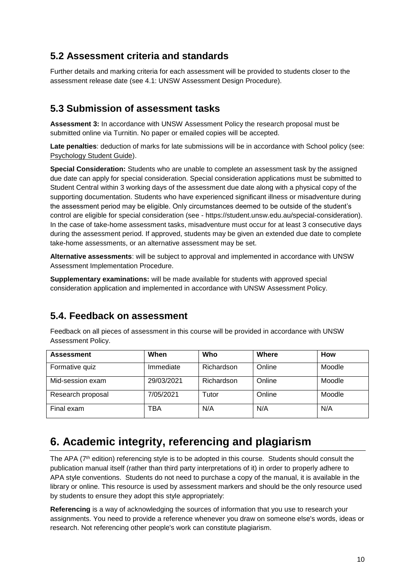### **5.2 Assessment criteria and standards**

Further details and marking criteria for each assessment will be provided to students closer to the assessment release date (see 4.1: UNSW Assessment Design Procedure).

#### **5.3 Submission of assessment tasks**

**Assessment 3:** In accordance with UNSW Assessment Policy the research proposal must be submitted online via Turnitin. No paper or emailed copies will be accepted.

**Late penalties**: deduction of marks for late submissions will be in accordance with School policy (see: [Psychology Student Guide\)](https://moodle.telt.unsw.edu.au/mod/resource/view.php?id=1630526).

**Special Consideration:** Students who are unable to complete an assessment task by the assigned due date can apply for special consideration. Special consideration applications must be submitted to Student Central within 3 working days of the assessment due date along with a physical copy of the supporting documentation. Students who have experienced significant illness or misadventure during the assessment period may be eligible. Only circumstances deemed to be outside of the student's control are eligible for special consideration (see - https://student.unsw.edu.au/special-consideration). In the case of take-home assessment tasks, misadventure must occur for at least 3 consecutive days during the assessment period. If approved, students may be given an extended due date to complete take-home assessments, or an alternative assessment may be set.

**Alternative assessments**: will be subject to approval and implemented in accordance with UNSW Assessment Implementation Procedure.

**Supplementary examinations:** will be made available for students with approved special consideration application and implemented in accordance with UNSW Assessment Policy.

#### **5.4. Feedback on assessment**

Feedback on all pieces of assessment in this course will be provided in accordance with UNSW Assessment Policy.

| <b>Assessment</b> | When       | Who        | Where  | How    |
|-------------------|------------|------------|--------|--------|
| Formative quiz    | Immediate  | Richardson | Online | Moodle |
| Mid-session exam  | 29/03/2021 | Richardson | Online | Moodle |
| Research proposal | 7/05/2021  | Tutor      | Online | Moodle |
| Final exam        | TBA        | N/A        | N/A    | N/A    |

# **6. Academic integrity, referencing and plagiarism**

The APA (7<sup>th</sup> edition) referencing style is to be adopted in this course. Students should consult the publication manual itself (rather than third party interpretations of it) in order to properly adhere to APA style conventions. Students do not need to purchase a copy of the manual, it is available in the library or online. This resource is used by assessment markers and should be the only resource used by students to ensure they adopt this style appropriately:

**Referencing** is a way of acknowledging the sources of information that you use to research your assignments. You need to provide a reference whenever you draw on someone else's words, ideas or research. Not referencing other people's work can constitute plagiarism.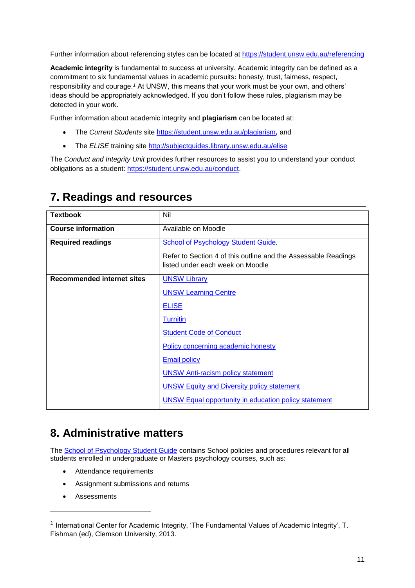Further information about referencing styles can be located at <https://student.unsw.edu.au/referencing>

**Academic integrity** is fundamental to success at university. Academic integrity can be defined as a commitment to six fundamental values in academic pursuits**:** honesty, trust, fairness, respect, responsibility and courage.*<sup>1</sup>* At UNSW, this means that your work must be your own, and others' ideas should be appropriately acknowledged. If you don't follow these rules, plagiarism may be detected in your work.

Further information about academic integrity and **plagiarism** can be located at:

- The *Current Students* site <https://student.unsw.edu.au/plagiarism>*,* and
- The *ELISE* training site <http://subjectguides.library.unsw.edu.au/elise>

The *Conduct and Integrity Unit* provides further resources to assist you to understand your conduct obligations as a student: [https://student.unsw.edu.au/conduct.](https://student.unsw.edu.au/conduct)

| <b>Textbook</b>                   | Nil                                                                                                |
|-----------------------------------|----------------------------------------------------------------------------------------------------|
| <b>Course information</b>         | Available on Moodle                                                                                |
| <b>Required readings</b>          | School of Psychology Student Guide.                                                                |
|                                   | Refer to Section 4 of this outline and the Assessable Readings<br>listed under each week on Moodle |
| <b>Recommended internet sites</b> | <b>UNSW Library</b>                                                                                |
|                                   | <b>UNSW Learning Centre</b>                                                                        |
|                                   | <b>ELISE</b>                                                                                       |
|                                   | <b>Turnitin</b>                                                                                    |
|                                   | <b>Student Code of Conduct</b>                                                                     |
|                                   | Policy concerning academic honesty                                                                 |
|                                   | <b>Email policy</b>                                                                                |
|                                   | <b>UNSW Anti-racism policy statement</b>                                                           |
|                                   | <b>UNSW Equity and Diversity policy statement</b>                                                  |
|                                   | <b>UNSW Equal opportunity in education policy statement</b>                                        |

## **7. Readings and resources**

# **8. Administrative matters**

The [School of Psychology Student Guide](http://psy.unsw.edu.au/sites/all/files/page_file_attachment/2018%20S1%20Psychology%20Student%20Guide_20180130.pdf) contains School policies and procedures relevant for all students enrolled in undergraduate or Masters psychology courses, such as:

- Attendance requirements
- Assignment submissions and returns
- Assessments

l

 $^{\text{1}}$  International Center for Academic Integrity, 'The Fundamental Values of Academic Integrity', T. Fishman (ed), Clemson University, 2013.